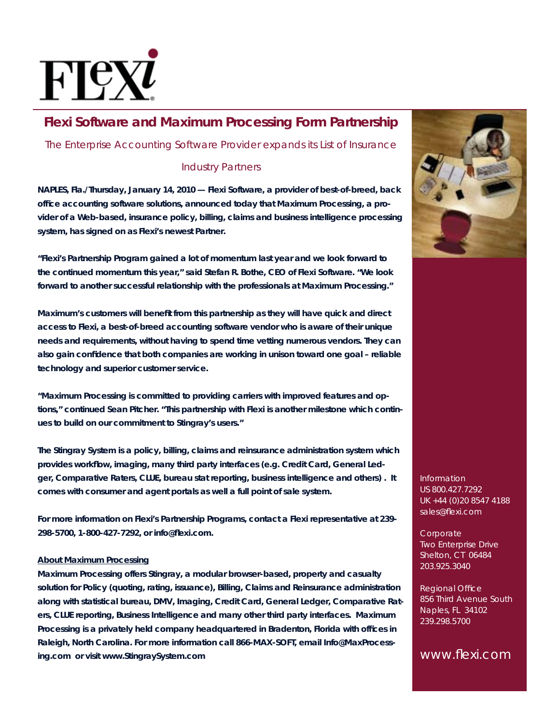

# **Flexi Software and Maximum Processing Form Partnership**

*The Enterprise Accounting Software Provider expands its List of Insurance* 

### *Industry Partners*

**NAPLES, Fla./Thursday, January 14, 2010 — Flexi Software, a provider of best-of-breed, back offi ce accounting software solutions, announced today that Maximum Processing, a provider of a Web-based, insurance policy, billing, claims and business intelligence processing system, has signed on as Flexi's newest Partner.**

**"Flexi's Partnership Program gained a lot of momentum last year and we look forward to the continued momentum this year," said Stefan R. Bothe, CEO of Flexi Software. "We look forward to another successful relationship with the professionals at Maximum Processing."**

Maximum's customers will benefit from this partnership as they will have quick and direct **access to Flexi, a best-of-breed accounting software vendor who is aware of their unique needs and requirements, without having to spend time vetting numerous vendors. They can also gain confi dence that both companies are working in unison toward one goal – reliable technology and superior customer service.**

**"Maximum Processing is committed to providing carriers with improved features and options," continued Sean Pitcher. "This partnership with Flexi is another milestone which continues to build on our commitment to Stingray's users."**

**The Stingray System is a policy, billing, claims and reinsurance administration system which**  provides workflow, imaging, many third party interfaces (e.g. Credit Card, General Led**ger, Comparative Raters, CLUE, bureau stat reporting, business intelligence and others) . It comes with consumer and agent portals as well a full point of sale system.**

**For more information on Flexi's Partnership Programs, contact a Flexi representative at 239- 298-5700, 1-800-427-7292, or info@fl exi.com.**

#### **About Maximum Processing**

**Maximum Processing offers Stingray, a modular browser-based, property and casualty solution for Policy (quoting, rating, issuance), Billing, Claims and Reinsurance administration along with statistical bureau, DMV, Imaging, Credit Card, General Ledger, Comparative Raters, CLUE reporting, Business Intelligence and many other third party interfaces. Maximum Processing is a privately held company headquartered in Bradenton, Florida with offi ces in Raleigh, North Carolina. For more information call 866-MAX-SOFT, email Info@MaxProcessing.com or visit www.StingraySystem.com** 



Information US 800.427.7292 UK +44 (0)20 8547 4188 sales@flexi.com

**Corporate** Two Enterprise Drive Shelton, CT 06484 203.925.3040

**Regional Office** 856 Third Avenue South Naples, FL 34102 239.298.5700

www.flexi.com